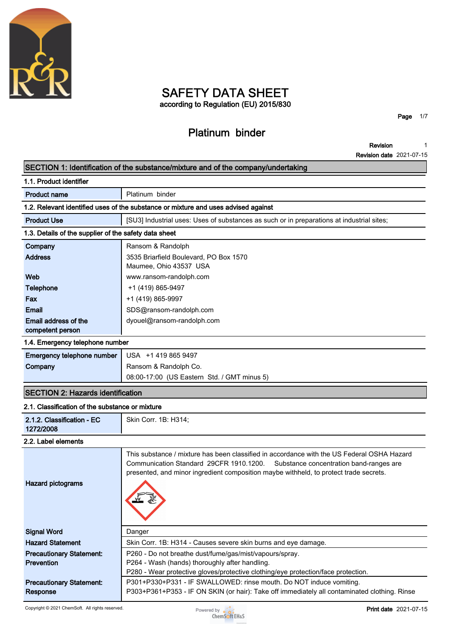

# **SAFETY DATA SHEET according to Regulation (EU) 2015/830**

# **Platinum binder**

**Page 1/7**

**Revision Revision date 2021-07-15 1**

#### ┍ **SECTION 1: Identification of the substance/mixture and of the company/undertaking**

|                                                       | [SECTION 1: Identification of the substance/mixture and of the company/undertaking                                                                                                                                                                                        |
|-------------------------------------------------------|---------------------------------------------------------------------------------------------------------------------------------------------------------------------------------------------------------------------------------------------------------------------------|
| 1.1. Product identifier                               |                                                                                                                                                                                                                                                                           |
| <b>Product name</b>                                   | Platinum binder                                                                                                                                                                                                                                                           |
|                                                       | 1.2. Relevant identified uses of the substance or mixture and uses advised against                                                                                                                                                                                        |
| <b>Product Use</b>                                    | [SU3] Industrial uses: Uses of substances as such or in preparations at industrial sites;                                                                                                                                                                                 |
| 1.3. Details of the supplier of the safety data sheet |                                                                                                                                                                                                                                                                           |
| Company                                               | Ransom & Randolph                                                                                                                                                                                                                                                         |
| <b>Address</b>                                        | 3535 Briarfield Boulevard, PO Box 1570<br>Maumee, Ohio 43537 USA                                                                                                                                                                                                          |
| Web                                                   | www.ransom-randolph.com                                                                                                                                                                                                                                                   |
| <b>Telephone</b>                                      | +1 (419) 865-9497                                                                                                                                                                                                                                                         |
| Fax                                                   | +1 (419) 865-9997                                                                                                                                                                                                                                                         |
| Email                                                 | SDS@ransom-randolph.com                                                                                                                                                                                                                                                   |
| Email address of the<br>competent person              | dyouel@ransom-randolph.com                                                                                                                                                                                                                                                |
| 1.4. Emergency telephone number                       |                                                                                                                                                                                                                                                                           |
| Emergency telephone number                            | USA +1 419 865 9497                                                                                                                                                                                                                                                       |
| Company                                               | Ransom & Randolph Co.                                                                                                                                                                                                                                                     |
|                                                       | 08:00-17:00 (US Eastern Std. / GMT minus 5)                                                                                                                                                                                                                               |
| <b>SECTION 2: Hazards identification</b>              |                                                                                                                                                                                                                                                                           |
| 2.1. Classification of the substance or mixture       |                                                                                                                                                                                                                                                                           |
| 2.1.2. Classification - EC<br>1272/2008               | Skin Corr. 1B: H314;                                                                                                                                                                                                                                                      |
| 2.2. Label elements                                   |                                                                                                                                                                                                                                                                           |
| <b>Hazard pictograms</b>                              | This substance / mixture has been classified in accordance with the US Federal OSHA Hazard<br>Communication Standard 29CFR 1910.1200.<br>Substance concentration band-ranges are<br>presented, and minor ingredient composition maybe withheld, to protect trade secrets. |

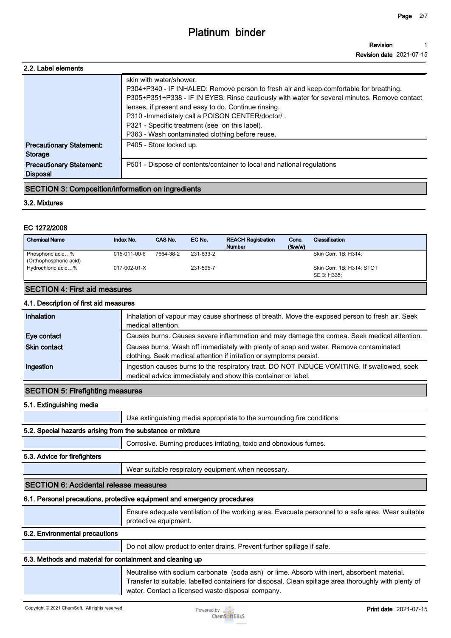#### **Revision Revision date 2021-07-15 1**

| 2.2. Label elements                                |                                                                                                                                                                                                                                                                                                                                                                                                                                    |
|----------------------------------------------------|------------------------------------------------------------------------------------------------------------------------------------------------------------------------------------------------------------------------------------------------------------------------------------------------------------------------------------------------------------------------------------------------------------------------------------|
|                                                    | skin with water/shower.<br>P304+P340 - IF INHALED: Remove person to fresh air and keep comfortable for breathing.<br>P305+P351+P338 - IF IN EYES: Rinse cautiously with water for several minutes. Remove contact<br>lenses, if present and easy to do. Continue rinsing.<br>P310 - Immediately call a POISON CENTER/doctor/.<br>P321 - Specific treatment (see on this label).<br>P363 - Wash contaminated clothing before reuse. |
| <b>Precautionary Statement:</b><br>Storage         | P405 - Store locked up.                                                                                                                                                                                                                                                                                                                                                                                                            |
| <b>Precautionary Statement:</b><br><b>Disposal</b> | P501 - Dispose of contents/container to local and national regulations                                                                                                                                                                                                                                                                                                                                                             |
|                                                    |                                                                                                                                                                                                                                                                                                                                                                                                                                    |

#### **SECTION 3: Composition/information on ingredients**

#### **3.2. Mixtures**

#### **EC 1272/2008**

| <b>Chemical Name</b>                       | Index No.    | CAS No.   | EC No.    | <b>REACH Registration</b><br><b>Number</b> | Conc.<br>$(\%w/w)$ | Classification                           |
|--------------------------------------------|--------------|-----------|-----------|--------------------------------------------|--------------------|------------------------------------------|
| Phosphoric acid%<br>(Orthophosphoric acid) | 015-011-00-6 | 7664-38-2 | 231-633-2 |                                            |                    | Skin Corr. 1B: H314:                     |
| Hydrochloric acid%                         | 017-002-01-X |           | 231-595-7 |                                            |                    | Skin Corr. 1B: H314; STOT<br>SE 3: H335: |

#### **SECTION 4: First aid measures**

#### **4.1. Description of first aid measures**

| Inhalation          | Inhalation of vapour may cause shortness of breath. Move the exposed person to fresh air. Seek<br>medical attention.                                         |
|---------------------|--------------------------------------------------------------------------------------------------------------------------------------------------------------|
| Eye contact         | Causes burns. Causes severe inflammation and may damage the cornea. Seek medical attention.                                                                  |
| <b>Skin contact</b> | Causes burns. Wash off immediately with plenty of soap and water. Remove contaminated<br>clothing. Seek medical attention if irritation or symptoms persist. |
| Ingestion           | Ingestion causes burns to the respiratory tract. DO NOT INDUCE VOMITING. If swallowed, seek<br>medical advice immediately and show this container or label.  |

#### **SECTION 5: Firefighting measures**

#### **5.1. Extinguishing media**

**Use extinguishing media appropriate to the surrounding fire conditions.**

#### **5.2. Special hazards arising from the substance or mixture**

**Corrosive. Burning produces irritating, toxic and obnoxious fumes.**

#### **5.3. Advice for firefighters**

**Wear suitable respiratory equipment when necessary.**

#### **SECTION 6: Accidental release measures**

#### **6.1. Personal precautions, protective equipment and emergency procedures**

**Ensure adequate ventilation of the working area. Evacuate personnel to a safe area. Wear suitable protective equipment.**

#### **6.2. Environmental precautions**

**Do not allow product to enter drains. Prevent further spillage if safe.**

#### **6.3. Methods and material for containment and cleaning up**

**Neutralise with sodium carbonate (soda ash) or lime. Absorb with inert, absorbent material. Transfer to suitable, labelled containers for disposal. Clean spillage area thoroughly with plenty of water. Contact a licensed waste disposal company.**

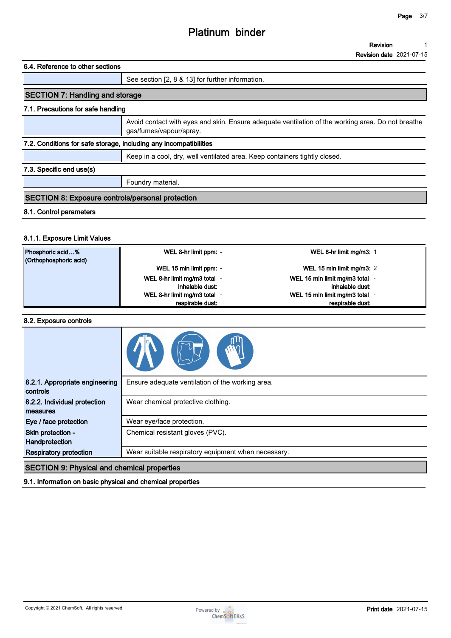#### **6.4. Reference to other sections**

#### **See section [2, 8 & 13] for further information.**

## **SECTION 7: Handling and storage**

#### **7.1. Precautions for safe handling**

**Avoid contact with eyes and skin. Ensure adequate ventilation of the working area. Do not breathe gas/fumes/vapour/spray.**

#### **7.2. Conditions for safe storage, including any incompatibilities**

**Keep in a cool, dry, well ventilated area. Keep containers tightly closed.**

#### **7.3. Specific end use(s)**

**Foundry material.**

## **SECTION 8: Exposure controls/personal protection**

#### **8.1. Control parameters**

#### **8.1.1. Exposure Limit Values**

| Phosphoric acid%<br>(Orthophosphoric acid) | WEL 8-hr limit ppm: -        | WEL 8-hr limit mg/m3: 1      |
|--------------------------------------------|------------------------------|------------------------------|
|                                            | WEL 15 min limit ppm: -      | WEL 15 min limit mg/m3: 2    |
|                                            | WEL 8-hr limit mg/m3 total - | WEL 15 min limit mg/m3 total |
|                                            | inhalable dust:              | inhalable dust:              |
|                                            | WEL 8-hr limit mg/m3 total - | WEL 15 min limit mg/m3 total |
|                                            | respirable dust:             | respirable dust:             |

#### **8.2. Exposure controls**

| 8.2.1. Appropriate engineering<br>controls                 | Ensure adequate ventilation of the working area.    |
|------------------------------------------------------------|-----------------------------------------------------|
| 8.2.2. Individual protection<br>measures                   | Wear chemical protective clothing.                  |
| Eye / face protection                                      | Wear eye/face protection.                           |
| Skin protection -<br>Handprotection                        | Chemical resistant gloves (PVC).                    |
| <b>Respiratory protection</b>                              | Wear suitable respiratory equipment when necessary. |
| <b>SECTION 9: Physical and chemical properties</b>         |                                                     |
| 9.1. Information on basic physical and chemical properties |                                                     |

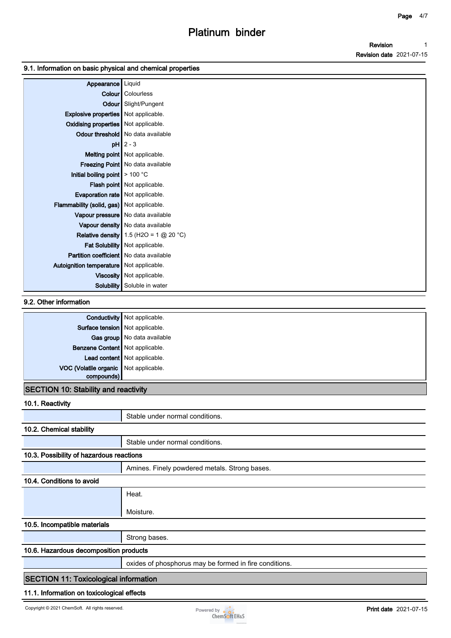#### **9.1. Information on basic physical and chemical properties**

| Appearance                                     | Liquid                                   |
|------------------------------------------------|------------------------------------------|
|                                                | <b>Colour</b> Colourless                 |
|                                                | Odour Slight/Pungent                     |
| <b>Explosive properties</b> Not applicable.    |                                          |
| <b>Oxidising properties</b> Not applicable.    |                                          |
|                                                | Odour threshold   No data available      |
|                                                | $pH$ 2 - 3                               |
|                                                | Melting point Not applicable.            |
|                                                | Freezing Point   No data available       |
| Initial boiling point $\geq 100$ °C            |                                          |
|                                                | <b>Flash point</b> Not applicable.       |
| Evaporation rate   Not applicable.             |                                          |
| Flammability (solid, gas) Not applicable.      |                                          |
|                                                | Vapour pressure   No data available      |
|                                                | Vapour density   No data available       |
|                                                | Relative density 1.5 (H2O = 1 $@$ 20 °C) |
|                                                | Fat Solubility Not applicable.           |
| <b>Partition coefficient</b> No data available |                                          |
| Autoignition temperature   Not applicable.     |                                          |
|                                                | Viscosity   Not applicable.              |
|                                                | <b>Solubility</b> Soluble in water       |

#### **9.2. Other information**

|                                             | <b>Conductivity</b> Not applicable. |
|---------------------------------------------|-------------------------------------|
| Surface tension   Not applicable.           |                                     |
|                                             | Gas group   No data available       |
| Benzene Content   Not applicable.           |                                     |
|                                             | Lead content   Not applicable.      |
| VOC (Volatile organic Not applicable.       |                                     |
| compounds)                                  |                                     |
| <b>SECTION 10: Stability and reactivity</b> |                                     |

## **10.1. Reactivity**

|                                              | Stable under normal conditions.                        |  |  |
|----------------------------------------------|--------------------------------------------------------|--|--|
| 10.2. Chemical stability                     |                                                        |  |  |
|                                              | Stable under normal conditions.                        |  |  |
| 10.3. Possibility of hazardous reactions     |                                                        |  |  |
|                                              | Amines. Finely powdered metals. Strong bases.          |  |  |
| 10.4. Conditions to avoid                    |                                                        |  |  |
|                                              | Heat.                                                  |  |  |
|                                              | Moisture.                                              |  |  |
| 10.5. Incompatible materials                 |                                                        |  |  |
|                                              | Strong bases.                                          |  |  |
| 10.6. Hazardous decomposition products       |                                                        |  |  |
|                                              | oxides of phosphorus may be formed in fire conditions. |  |  |
| <b>SECTION 11: Toxicological information</b> |                                                        |  |  |
|                                              | 11.1. Information on toxicological effects             |  |  |

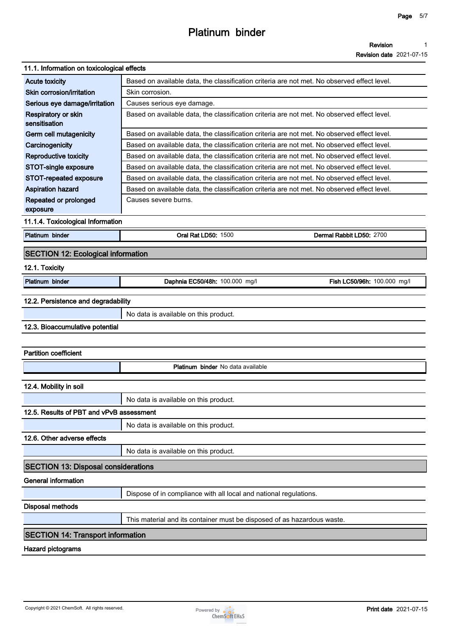**Revision date 2021-07-15**

## **11.1. Information on toxicological effects**

| 11.1. INTONINATION ON TOXICOlOGICAL ENECTS |                                                                                             |                             |
|--------------------------------------------|---------------------------------------------------------------------------------------------|-----------------------------|
| <b>Acute toxicity</b>                      | Based on available data, the classification criteria are not met. No observed effect level. |                             |
| Skin corrosion/irritation                  | Skin corrosion.                                                                             |                             |
| Serious eye damage/irritation              | Causes serious eye damage.                                                                  |                             |
| Respiratory or skin<br>sensitisation       | Based on available data, the classification criteria are not met. No observed effect level. |                             |
| Germ cell mutagenicity                     | Based on available data, the classification criteria are not met. No observed effect level. |                             |
| Carcinogenicity                            | Based on available data, the classification criteria are not met. No observed effect level. |                             |
| Reproductive toxicity                      | Based on available data, the classification criteria are not met. No observed effect level. |                             |
| STOT-single exposure                       | Based on available data, the classification criteria are not met. No observed effect level. |                             |
| STOT-repeated exposure                     | Based on available data, the classification criteria are not met. No observed effect level. |                             |
| <b>Aspiration hazard</b>                   | Based on available data, the classification criteria are not met. No observed effect level. |                             |
| Repeated or prolonged<br>exposure          | Causes severe burns.                                                                        |                             |
| 11.1.4. Toxicological Information          |                                                                                             |                             |
| Platinum binder                            | <b>Oral Rat LD50: 1500</b>                                                                  | Dermal Rabbit LD50: 2700    |
| <b>SECTION 12: Ecological information</b>  |                                                                                             |                             |
| 12.1. Toxicity                             |                                                                                             |                             |
| Platinum binder                            | Daphnia EC50/48h: 100.000 mg/l                                                              | Fish LC50/96h: 100.000 mg/l |
| 12.2. Persistence and degradability        |                                                                                             |                             |
|                                            | No data is available on this product.                                                       |                             |
| 12.3. Bioaccumulative potential            |                                                                                             |                             |
|                                            |                                                                                             |                             |
|                                            |                                                                                             |                             |
| <b>Partition coefficient</b>               |                                                                                             |                             |
|                                            | Platinum binder No data available                                                           |                             |
| 12.4. Mobility in soil                     |                                                                                             |                             |
|                                            | No data is available on this product.                                                       |                             |
| 12.5. Results of PBT and vPvB assessment   |                                                                                             |                             |
|                                            | No data is available on this product.                                                       |                             |
| 12.6. Other adverse effects                |                                                                                             |                             |
|                                            | No data is available on this product.                                                       |                             |
| <b>SECTION 13: Disposal considerations</b> |                                                                                             |                             |
| <b>General information</b>                 |                                                                                             |                             |
|                                            | Dispose of in compliance with all local and national regulations.                           |                             |
| <b>Disposal methods</b>                    |                                                                                             |                             |
|                                            | This material and its container must be disposed of as hazardous waste.                     |                             |
|                                            |                                                                                             |                             |

## **SECTION 14: Transport information**

**Hazard pictograms**

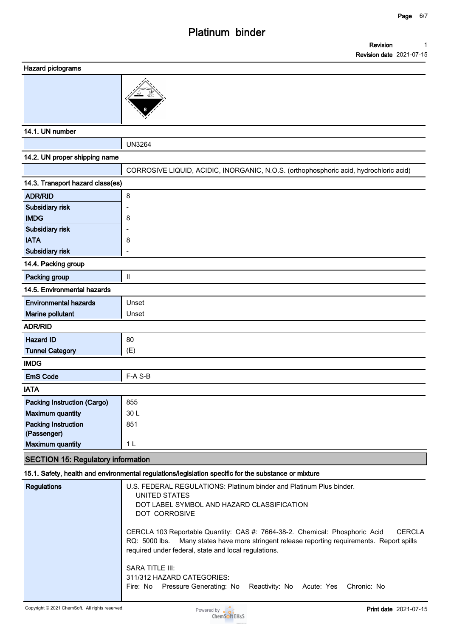#### **Hazard pictograms**



#### **14.1. UN number**

**UN3264 14.2. UN proper shipping name CORROSIVE LIQUID, ACIDIC, INORGANIC, N.O.S. (orthophosphoric acid, hydrochloric acid) 14.3. Transport hazard class(es) ADR/RID 8 Subsidiary risk - IMDG 8 Subsidiary risk - IATA 8 Subsidiary risk - 14.4. Packing group Packing group III 14.5. Environmental hazards Environmental hazards** | Unset **Marine pollutant Unset ADR/RID Hazard ID** 80 **Tunnel Category (E) IMDG EmS Code F-A S-B IATA Packing Instruction (Cargo)** | 855 **Maximum quantity 30 L Packing Instruction (Passenger) 851 Maximum quantity 1 L**

#### **SECTION 15: Regulatory information**

#### **15.1. Safety, health and environmental regulations/legislation specific for the substance or mixture**

| <b>Regulations</b> | U.S. FEDERAL REGULATIONS: Platinum binder and Platinum Plus binder.<br>UNITED STATES<br>DOT LABEL SYMBOL AND HAZARD CLASSIFICATION<br>DOT CORROSIVE                                                                                          |
|--------------------|----------------------------------------------------------------------------------------------------------------------------------------------------------------------------------------------------------------------------------------------|
|                    | CERCLA 103 Reportable Quantity: CAS #: 7664-38-2. Chemical: Phosphoric Acid<br>CERCLA<br>RQ: 5000 lbs. Many states have more stringent release reporting requirements. Report spills<br>required under federal, state and local regulations. |
|                    | <b>SARA TITLE III:</b><br>311/312 HAZARD CATEGORIES:<br>Fire: No Pressure Generating: No Reactivity: No Acute: Yes<br>Chronic: No                                                                                                            |